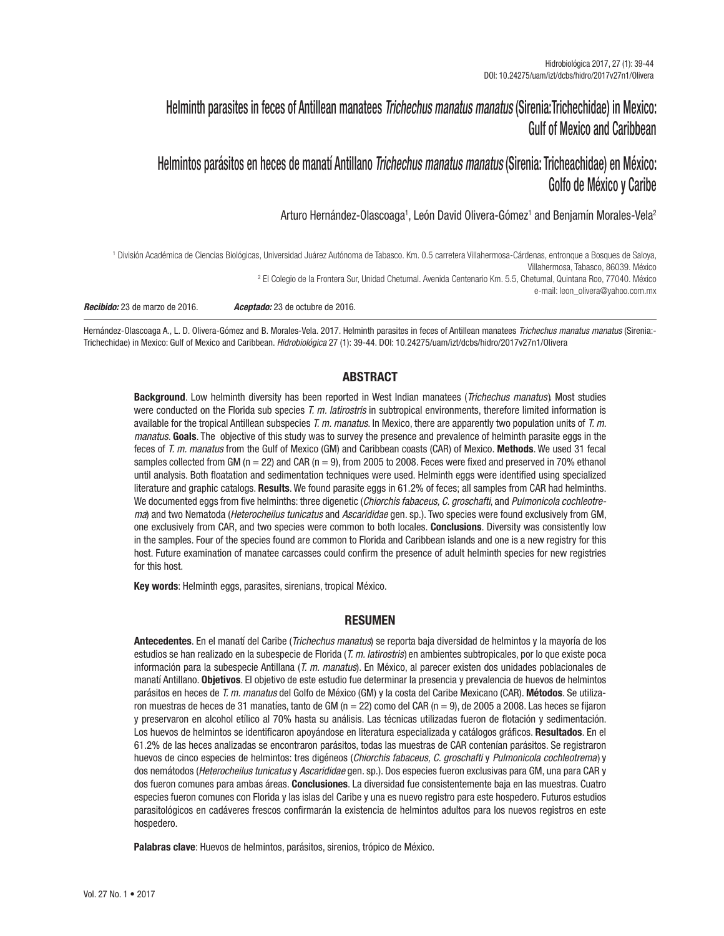# Helminth parasites in feces of Antillean manatees *Trichechus manatus manatus* (Sirenia:Trichechidae) in Mexico: Gulf of Mexico and Caribbean

# Helmintos parásitos en heces de manatí Antillano *Trichechus manatus manatus* (Sirenia: Tricheachidae) en México: Golfo de México y Caribe

Arturo Hernández-Olascoaga1, León David Olivera-Gómez1 and Benjamín Morales-Vela<sup>2</sup>

1 División Académica de Ciencias Biológicas, Universidad Juárez Autónoma de Tabasco. Km. 0.5 carretera Villahermosa-Cárdenas, entronque a Bosques de Saloya, Villahermosa, Tabasco, 86039. México 2 El Colegio de la Frontera Sur, Unidad Chetumal. Avenida Centenario Km. 5.5, Chetumal, Quintana Roo, 77040. México e-mail: leon\_olivera@yahoo.com.mx *Recibido:* 23 de marzo de 2016. *Aceptado:* 23 de octubre de 2016.

Hernández-Olascoaga A., L. D. Olivera-Gómez and B. Morales-Vela. 2017. Helminth parasites in feces of Antillean manatees *Trichechus manatus manatus* (Sirenia:- Trichechidae) in Mexico: Gulf of Mexico and Caribbean. *Hidrobiológica* 27 (1): 39-44. DOI: 10.24275/uam/izt/dcbs/hidro/2017v27n1/Olivera

# ABSTRACT

Background. Low helminth diversity has been reported in West Indian manatees (*Trichechus manatus*). Most studies were conducted on the Florida sub species *T. m. latirostris* in subtropical environments, therefore limited information is available for the tropical Antillean subspecies *T. m. manatus*. In Mexico, there are apparently two population units of *T. m. manatus.* Goals. The objective of this study was to survey the presence and prevalence of helminth parasite eggs in the feces of *T. m. manatus* from the Gulf of Mexico (GM) and Caribbean coasts (CAR) of Mexico. Methods. We used 31 fecal samples collected from GM ( $n = 22$ ) and CAR ( $n = 9$ ), from 2005 to 2008. Feces were fixed and preserved in 70% ethanol until analysis. Both floatation and sedimentation techniques were used. Helminth eggs were identified using specialized literature and graphic catalogs. Results. We found parasite eggs in 61.2% of feces; all samples from CAR had helminths. We documented eggs from five helminths: three digenetic (*Chiorchis fabaceus, C. groschafti*, and *Pulmonicola cochleotrema*) and two Nematoda (*Heterocheilus tunicatus* and *Ascarididae* gen. sp.). Two species were found exclusively from GM, one exclusively from CAR, and two species were common to both locales. Conclusions. Diversity was consistently low in the samples. Four of the species found are common to Florida and Caribbean islands and one is a new registry for this host. Future examination of manatee carcasses could confirm the presence of adult helminth species for new registries for this host.

Key words: Helminth eggs, parasites, sirenians, tropical México.

# RESUMEN

Antecedentes. En el manatí del Caribe (*Trichechus manatus*) se reporta baja diversidad de helmintos y la mayoría de los estudios se han realizado en la subespecie de Florida (*T. m. latirostris* ) en ambientes subtropicales, por lo que existe poca información para la subespecie Antillana (*T. m. manatus*). En México, al parecer existen dos unidades poblacionales de manatí Antillano. Objetivos. El objetivo de este estudio fue determinar la presencia y prevalencia de huevos de helmintos parásitos en heces de *T. m. manatus* del Golfo de México (GM) y la costa del Caribe Mexicano (CAR). Métodos. Se utilizaron muestras de heces de 31 manatíes, tanto de GM (n = 22) como del CAR (n = 9), de 2005 a 2008. Las heces se fijaron y preservaron en alcohol etílico al 70% hasta su análisis. Las técnicas utilizadas fueron de flotación y sedimentación. Los huevos de helmintos se identificaron apoyándose en literatura especializada y catálogos gráficos. Resultados. En el 61.2% de las heces analizadas se encontraron parásitos, todas las muestras de CAR contenían parásitos. Se registraron huevos de cinco especies de helmintos: tres digéneos (*Chiorchis fabaceus, C. groschafti* y *Pulmonicola cochleotrema* ) y dos nemátodos (*Heterocheilus tunicatus* y *Ascarididae* gen. sp.). Dos especies fueron exclusivas para GM, una para CAR y dos fueron comunes para ambas áreas. Conclusiones. La diversidad fue consistentemente baja en las muestras. Cuatro especies fueron comunes con Florida y las islas del Caribe y una es nuevo registro para este hospedero. Futuros estudios parasitológicos en cadáveres frescos confirmarán la existencia de helmintos adultos para los nuevos registros en este hospedero.

Palabras clave: Huevos de helmintos, parásitos, sirenios, trópico de México.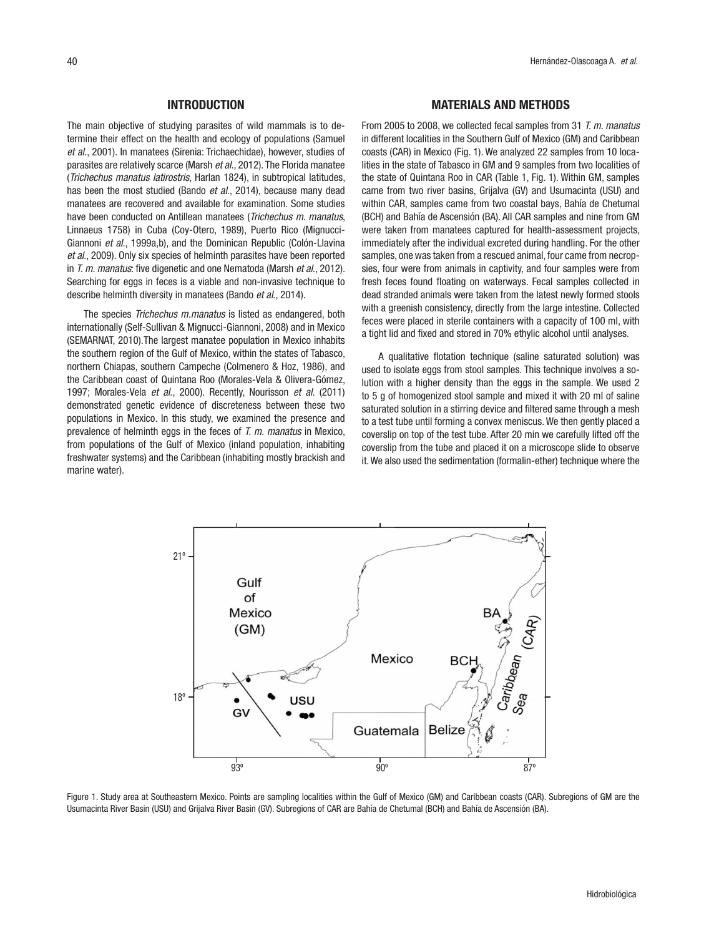#### INTRODUCTION

The main objective of studying parasites of wild mammals is to determine their effect on the health and ecology of populations (Samuel *et al.*, 2001). In manatees (Sirenia: Trichaechidae), however, studies of parasites are relatively scarce (Marsh *et al*., 2012). The Florida manatee (*Trichechus manatus latirostris*, Harlan 1824), in subtropical latitudes, has been the most studied (Bando *et al*., 2014), because many dead manatees are recovered and available for examination. Some studies have been conducted on Antillean manatees (*Trichechus m. manatus*, Linnaeus 1758) in Cuba (Coy-Otero, 1989), Puerto Rico (Mignucci-Giannoni *et al*., 1999a,b), and the Dominican Republic (Colón-Llavina *et al*., 2009). Only six species of helminth parasites have been reported in *T. m. manatus*: five digenetic and one Nematoda (Marsh *et al*., 2012). Searching for eggs in feces is a viable and non-invasive technique to describe helminth diversity in manatees (Bando *et al*., 2014).

The species *Trichechus m.manatus* is listed as endangered, both internationally (Self-Sullivan & Mignucci-Giannoni, 2008) and in Mexico (SEMARNAT, 2010).The largest manatee population in Mexico inhabits the southern region of the Gulf of Mexico, within the states of Tabasco, northern Chiapas, southern Campeche (Colmenero & Hoz, 1986), and the Caribbean coast of Quintana Roo (Morales-Vela & Olivera-Gómez, 1997; Morales-Vela *et al*., 2000). Recently, Nourisson *et al*. (2011) demonstrated genetic evidence of discreteness between these two populations in Mexico. In this study, we examined the presence and prevalence of helminth eggs in the feces of *T. m. manatus* in Mexico, from populations of the Gulf of Mexico (inland population, inhabiting freshwater systems) and the Caribbean (inhabiting mostly brackish and marine water).

#### MATERIALS AND METHODS

From 2005 to 2008, we collected fecal samples from 31 *T. m. manatus* in different localities in the Southern Gulf of Mexico (GM) and Caribbean coasts (CAR) in Mexico (Fig. 1). We analyzed 22 samples from 10 localities in the state of Tabasco in GM and 9 samples from two localities of the state of Quintana Roo in CAR (Table 1, Fig. 1). Within GM, samples came from two river basins, Grijalva (GV) and Usumacinta (USU) and within CAR, samples came from two coastal bays, Bahía de Chetumal (BCH) and Bahía de Ascensión (BA). All CAR samples and nine from GM were taken from manatees captured for health-assessment projects, immediately after the individual excreted during handling. For the other samples, one was taken from a rescued animal, four came from necropsies, four were from animals in captivity, and four samples were from fresh feces found floating on waterways. Fecal samples collected in dead stranded animals were taken from the latest newly formed stools with a greenish consistency, directly from the large intestine. Collected feces were placed in sterile containers with a capacity of 100 ml, with a tight lid and fixed and stored in 70% ethylic alcohol until analyses.

A qualitative flotation technique (saline saturated solution) was used to isolate eggs from stool samples. This technique involves a solution with a higher density than the eggs in the sample. We used 2 to 5 g of homogenized stool sample and mixed it with 20 ml of saline saturated solution in a stirring device and filtered same through a mesh to a test tube until forming a convex meniscus. We then gently placed a coverslip on top of the test tube. After 20 min we carefully lifted off the coverslip from the tube and placed it on a microscope slide to observe it. We also used the sedimentation (formalin-ether) technique where the



Figure 1. Study area at Southeastern Mexico. Points are sampling localities within the Gulf of Mexico (GM) and Caribbean coasts (CAR). Subregions of GM are the Usumacinta River Basin (USU) and Grijalva River Basin (GV). Subregions of CAR are Bahía de Chetumal (BCH) and Bahía de Ascensión (BA).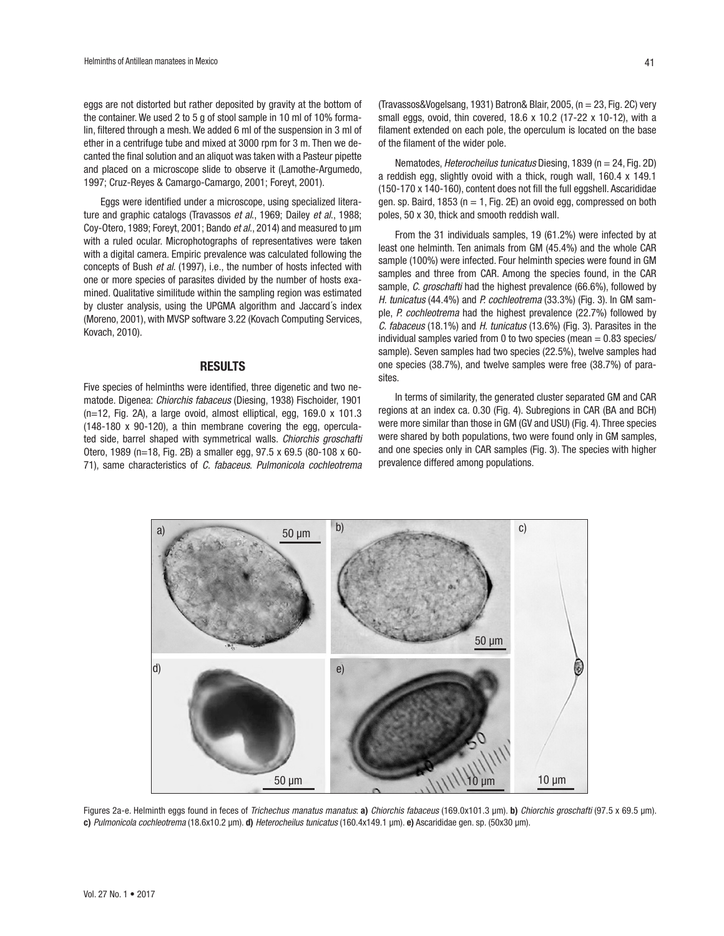eggs are not distorted but rather deposited by gravity at the bottom of the container. We used 2 to 5 g of stool sample in 10 ml of 10% formalin, filtered through a mesh. We added 6 ml of the suspension in 3 ml of ether in a centrifuge tube and mixed at 3000 rpm for 3 m. Then we decanted the final solution and an aliquot was taken with a Pasteur pipette and placed on a microscope slide to observe it (Lamothe-Argumedo, 1997; Cruz-Reyes & Camargo-Camargo, 2001; Foreyt, 2001).

Eggs were identified under a microscope, using specialized literature and graphic catalogs (Travassos *et al*., 1969; Dailey *et al*., 1988; Coy-Otero, 1989; Foreyt, 2001; Bando *et al*., 2014) and measured to µm with a ruled ocular. Microphotographs of representatives were taken with a digital camera. Empiric prevalence was calculated following the concepts of Bush *et al*. (1997), i.e., the number of hosts infected with one or more species of parasites divided by the number of hosts examined. Qualitative similitude within the sampling region was estimated by cluster analysis, using the UPGMA algorithm and Jaccard´s index (Moreno, 2001), with MVSP software 3.22 (Kovach Computing Services, Kovach, 2010).

### **RESULTS**

Five species of helminths were identified, three digenetic and two nematode. Digenea: *Chiorchis fabaceus* (Diesing, 1938) Fischoider, 1901 (n=12, Fig. 2A), a large ovoid, almost elliptical, egg, 169.0 x 101.3 (148-180 x 90-120), a thin membrane covering the egg, operculated side, barrel shaped with symmetrical walls. *Chiorchis groschafti* Otero, 1989 (n=18, Fig. 2B) a smaller egg, 97.5 x 69.5 (80-108 x 60- 71), same characteristics of *C. fabaceus*. *Pulmonicola cochleotrema* (Travassos&Vogelsang, 1931) Batron& Blair, 2005, (n = 23, Fig. 2C) very small eggs, ovoid, thin covered, 18.6 x 10.2 (17-22 x 10-12), with a filament extended on each pole, the operculum is located on the base of the filament of the wider pole.

Nematodes, *Heterocheilus tunicatus* Diesing, 1839 (n = 24, Fig. 2D) a reddish egg, slightly ovoid with a thick, rough wall, 160.4 x 149.1 (150-170 x 140-160), content does not fill the full eggshell. Ascarididae gen. sp. Baird, 1853 ( $n = 1$ , Fig. 2E) an ovoid egg, compressed on both poles, 50 x 30, thick and smooth reddish wall.

From the 31 individuals samples, 19 (61.2%) were infected by at least one helminth. Ten animals from GM (45.4%) and the whole CAR sample (100%) were infected. Four helminth species were found in GM samples and three from CAR. Among the species found, in the CAR sample, *C. groschafti* had the highest prevalence (66.6%), followed by *H. tunicatus* (44.4%) and *P. cochleotrema* (33.3%) (Fig. 3). In GM sample, *P. cochleotrema* had the highest prevalence (22.7%) followed by *C. fabaceus* (18.1%) and *H. tunicatus* (13.6%) (Fig. 3). Parasites in the individual samples varied from 0 to two species (mean  $= 0.83$  species/ sample). Seven samples had two species (22.5%), twelve samples had one species (38.7%), and twelve samples were free (38.7%) of parasites.

In terms of similarity, the generated cluster separated GM and CAR regions at an index ca. 0.30 (Fig. 4). Subregions in CAR (BA and BCH) were more similar than those in GM (GV and USU) (Fig. 4). Three species were shared by both populations, two were found only in GM samples, and one species only in CAR samples (Fig. 3). The species with higher prevalence differed among populations.



Figures 2a-e. Helminth eggs found in feces of *Trichechus manatus manatus*: a) *Chiorchis fabaceus* (169.0x101.3 µm). b) *Chiorchis groschafti* (97.5 x 69.5 µm). c) *Pulmonicola cochleotrema* (18.6x10.2 µm). d) *Heterocheilus tunicatus* (160.4x149.1 µm). e) Ascarididae gen. sp. (50x30 µm).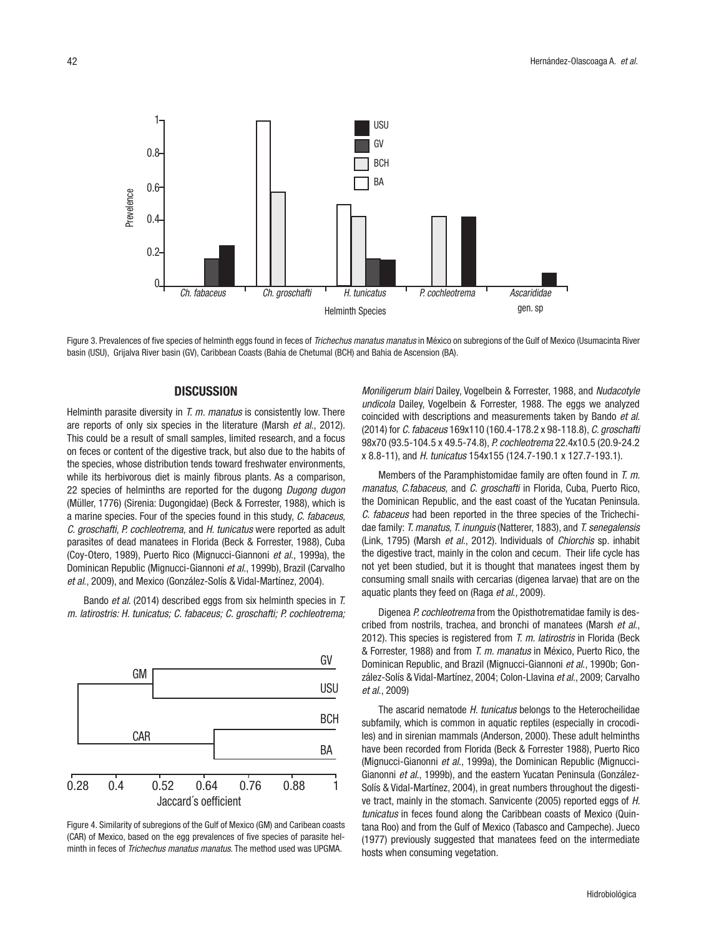

Figure 3. Prevalences of five species of helminth eggs found in feces of *Trichechus manatus manatus* in México on subregions of the Gulf of Mexico (Usumacinta River basin (USU), Grijalva River basin (GV), Caribbean Coasts (Bahia de Chetumal (BCH) and Bahia de Ascension (BA).

## **DISCUSSION**

Helminth parasite diversity in *T. m. manatus* is consistently low. There are reports of only six species in the literature (Marsh *et al*., 2012). This could be a result of small samples, limited research, and a focus on feces or content of the digestive track, but also due to the habits of the species, whose distribution tends toward freshwater environments, while its herbivorous diet is mainly fibrous plants. As a comparison, 22 species of helminths are reported for the dugong *Dugong dugon* (Müller, 1776) (Sirenia: Dugongidae) (Beck & Forrester, 1988), which is a marine species. Four of the species found in this study, *C. fabaceus, C. groschafti, P. cochleotrema,* and *H. tunicatus* were reported as adult parasites of dead manatees in Florida (Beck & Forrester, 1988), Cuba (Coy-Otero, 1989), Puerto Rico (Mignucci-Giannoni *et al*., 1999a), the Dominican Republic (Mignucci-Giannoni *et al*., 1999b), Brazil (Carvalho *et al*., 2009), and Mexico (González-Solís & Vidal-Martínez, 2004). example the method as a determination of *Ch. fabaceus*<br>
and the method of *Ch. fabaceus*<br>
Beginnered a. Prevalences of *Trichechus manatus* is consistently low. Then<br>
the method used was species of helminith eggs found in

Bando *et al*. (2014) described eggs from six helminth species in *T. m. latirostris: H. tunicatus; C. fabaceus; C. groschafti; P. cochleotrema;* 



Figure 4. Similarity of subregions of the Gulf of Mexico (GM) and Caribean coasts (CAR) of Mexico, based on the egg prevalences of five species of parasite hel-

*Moniligerum blairi* Dailey, Vogelbein & Forrester, 1988, and *Nudacotyle undicola* Dailey, Vogelbein & Forrester, 1988. The eggs we analyzed coincided with descriptions and measurements taken by Bando *et al*. (2014) for *C. fabaceus* 169x110 (160.4-178.2 x 98-118.8), *C. groschafti* 98x70 (93.5-104.5 x 49.5-74.8), *P. cochleotrema* 22.4x10.5 (20.9-24.2 x 8.8-11), and *H. tunicatus* 154x155 (124.7-190.1 x 127.7-193.1).

Members of the Paramphistomidae family are often found in *T. m. manatus*, *C.fabaceus,* and *C. groschafti* in Florida, Cuba, Puerto Rico, the Dominican Republic, and the east coast of the Yucatan Peninsula. *C. fabaceus* had been reported in the three species of the Trichechidae family: *T. manatus, T. inunguis* (Natterer, 1883), and *T. senegalensis* (Link, 1795) (Marsh *et al*., 2012). Individuals of *Chiorchis* sp. inhabit the digestive tract, mainly in the colon and cecum. Their life cycle has not yet been studied, but it is thought that manatees ingest them by consuming small snails with cercarias (digenea larvae) that are on the aquatic plants they feed on (Raga *et al*., 2009).

Digenea *P. cochleotrema* from the Opisthotrematidae family is described from nostrils, trachea, and bronchi of manatees (Marsh *et al*., 2012). This species is registered from *T. m. latirostris* in Florida (Beck & Forrester, 1988) and from *T. m. manatus* in México, Puerto Rico, the Dominican Republic, and Brazil (Mignucci-Giannoni *et al*., 1990b; González-Solís & Vidal-Martínez, 2004; Colon-Llavina *et al*., 2009; Carvalho *et al*., 2009)

The ascarid nematode *H. tunicatus* belongs to the Heterocheilidae subfamily, which is common in aquatic reptiles (especially in crocodiles) and in sirenian mammals (Anderson, 2000). These adult helminths have been recorded from Florida (Beck & Forrester 1988), Puerto Rico (Mignucci-Gianonni *et al*., 1999a), the Dominican Republic (Mignucci-Gianonni *et al*., 1999b), and the eastern Yucatan Peninsula (González-Solís & Vidal-Martínez, 2004), in great numbers throughout the digestive tract, mainly in the stomach. Sanvicente (2005) reported eggs of *H. tunicatus* in feces found along the Caribbean coasts of Mexico (Quintana Roo) and from the Gulf of Mexico (Tabasco and Campeche). Jueco (1977) previously suggested that manatees feed on the intermediate hosts when consuming vegetation.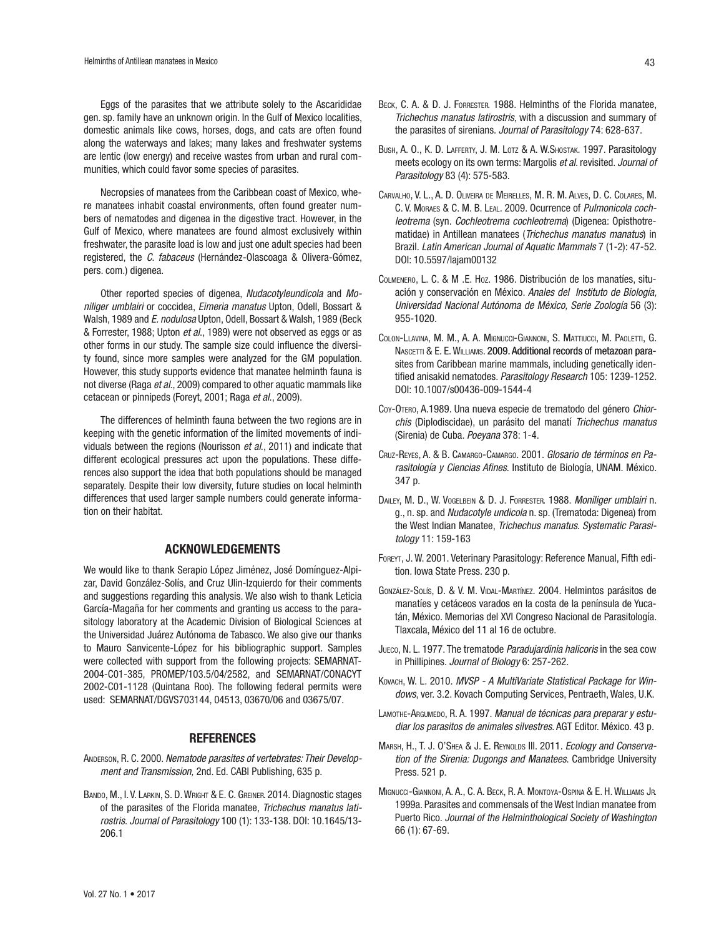Eggs of the parasites that we attribute solely to the Ascarididae gen. sp. family have an unknown origin. In the Gulf of Mexico localities, domestic animals like cows, horses, dogs, and cats are often found along the waterways and lakes; many lakes and freshwater systems are lentic (low energy) and receive wastes from urban and rural communities, which could favor some species of parasites.

Necropsies of manatees from the Caribbean coast of Mexico, where manatees inhabit coastal environments, often found greater numbers of nematodes and digenea in the digestive tract. However, in the Gulf of Mexico, where manatees are found almost exclusively within freshwater, the parasite load is low and just one adult species had been registered, the *C. fabaceus* (Hernández-Olascoaga & Olivera-Gómez, pers. com.) digenea.

Other reported species of digenea, *Nudacotyleundicola* and *Moniliger umblairi* or coccidea, *Eimeria manatus* Upton, Odell, Bossart & Walsh, 1989 and *E. nodulosa* Upton, Odell, Bossart & Walsh, 1989 (Beck & Forrester, 1988; Upton *et al*., 1989) were not observed as eggs or as other forms in our study. The sample size could influence the diversity found, since more samples were analyzed for the GM population. However, this study supports evidence that manatee helminth fauna is not diverse (Raga *et al*., 2009) compared to other aquatic mammals like cetacean or pinnipeds (Foreyt, 2001; Raga *et al*., 2009).

The differences of helminth fauna between the two regions are in keeping with the genetic information of the limited movements of individuals between the regions (Nourisson *et al*., 2011) and indicate that different ecological pressures act upon the populations. These differences also support the idea that both populations should be managed separately. Despite their low diversity, future studies on local helminth differences that used larger sample numbers could generate information on their habitat.

### ACKNOWLEDGEMENTS

We would like to thank Serapio López Jiménez, José Domínguez-Alpizar, David González-Solís, and Cruz Ulin-Izquierdo for their comments and suggestions regarding this analysis. We also wish to thank Leticia García-Magaña for her comments and granting us access to the parasitology laboratory at the Academic Division of Biological Sciences at the Universidad Juárez Autónoma de Tabasco. We also give our thanks to Mauro Sanvicente-López for his bibliographic support. Samples were collected with support from the following projects: SEMARNAT-2004-C01-385, PROMEP/103.5/04/2582, and SEMARNAT/CONACYT 2002-C01-1128 (Quintana Roo). The following federal permits were used: SEMARNAT/DGVS703144, 04513, 03670/06 and 03675/07.

#### REFERENCES

- Anderson, R. C. 2000. *Nematode parasites of vertebrates: Their Development and Transmission,* 2nd. Ed. CABI Publishing, 635 p.
- BANDO, M., I. V. LARKIN, S. D. WRIGHT & E. C. GREINER. 2014. Diagnostic stages of the parasites of the Florida manatee, *Trichechus manatus latirostris*. *Journal of Parasitology* 100 (1): 133-138. DOI: 10.1645/13- 206.1
- BECK, C. A. & D. J. FORRESTER. 1988. Helminths of the Florida manatee, *Trichechus manatus latirostris*, with a discussion and summary of the parasites of sirenians. *Journal of Parasitology* 74: 628-637.
- BUSH, A. O., K. D. LAFFERTY, J. M. LOTZ & A. W. SHOSTAK. 1997. Parasitology meets ecology on its own terms: Margolis *et al*. revisited. *Journal of Parasitology* 83 (4): 575-583.
- Carvalho, V. L., A. D. Oliveira de Meirelles, M. R. M. Alves, D. C. Colares, M. C. V. Moraes & C. M. B. Leal. 2009. Ocurrence of *Pulmonicola cochleotrema* (syn. *Cochleotrema cochleotrema*) (Digenea: Opisthotrematidae) in Antillean manatees (*Trichechus manatus manatus*) in Brazil. *Latin American Journal of Aquatic Mammals* 7 (1-2): 47-52. DOI: 10.5597/lajam00132
- Colmenero, L. C. & M .E. Hoz. 1986. Distribución de los manatíes, situación y conservación en México. *Anales del Instituto de Biología, Universidad Nacional Autónoma de México, Serie Zoología* 56 (3): 955-1020.
- Colon-Llavina, M. M., A. A. Mignucci-Giannoni, S. Mattiucci, M. Paoletti, G. NASCETTI & E. E. WILLIAMS. 2009. Additional records of metazoan parasites from Caribbean marine mammals, including genetically identified anisakid nematodes. *Parasitology Research* 105: 1239-1252. DOI: 10.1007/s00436-009-1544-4
- Coy-Otero, A.1989. Una nueva especie de trematodo del género *Chiorchis* (Diplodiscidae), un parásito del manatí *Trichechus manatus* (Sirenia) de Cuba. *Poeyana* 378: 1-4.
- Cruz-Reyes, A. & B. Camargo-Camargo. 2001. *Glosario de términos en Parasitología y Ciencias Afines*. Instituto de Biología, UNAM. México. 347 p.
- Dailey, M. D., W. Vogelbein & D. J. Forrester. 1988. *Moniliger umblairi* n. g., n. sp. and *Nudacotyle undicola* n. sp. (Trematoda: Digenea) from the West Indian Manatee, *Trichechus manatus*. *Systematic Parasitology* 11: 159-163
- FOREYT, J. W. 2001. Veterinary Parasitology: Reference Manual, Fifth edition. Iowa State Press. 230 p.
- González-Solís, D. & V. M. Vidal-Martínez. 2004. Helmintos parásitos de manatíes y cetáceos varados en la costa de la península de Yucatán, México. Memorias del XVI Congreso Nacional de Parasitología. Tlaxcala, México del 11 al 16 de octubre.
- Jueco, N. L. 1977. The trematode *Paradujardinia halicoris* in the sea cow in Phillipines. *Journal of Biology* 6: 257-262.
- Kovach, W. L. 2010. *MVSP A MultiVariate Statistical Package for Windows*, ver. 3.2. Kovach Computing Services, Pentraeth, Wales, U.K.
- LAMOTHE-ARGUMEDO, R. A. 1997. Manual de técnicas para preparar y estu*diar los parasitos de animales silvestres*. AGT Editor. México. 43 p.
- Marsh, H., T. J. O'Shea & J. E. Reynolds III. 2011. *Ecology and Conservation of the Sirenia: Dugongs and Manatees*. Cambridge University Press. 521 p.
- Mignucci-Giannoni, A. A., C. A. Beck, R. A. Montoya-Ospina & E. H. Williams Jr. 1999a. Parasites and commensals of the West Indian manatee from Puerto Rico. *Journal of the Helminthological Society of Washington* 66 (1): 67-69.